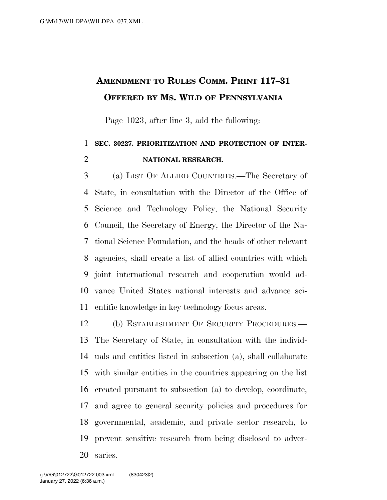## **AMENDMENT TO RULES COMM. PRINT 117–31 OFFERED BY MS. WILD OF PENNSYLVANIA**

Page 1023, after line 3, add the following:

## **SEC. 30227. PRIORITIZATION AND PROTECTION OF INTER-NATIONAL RESEARCH.**

 (a) LIST OF ALLIED COUNTRIES.—The Secretary of State, in consultation with the Director of the Office of Science and Technology Policy, the National Security Council, the Secretary of Energy, the Director of the Na- tional Science Foundation, and the heads of other relevant agencies, shall create a list of allied countries with which joint international research and cooperation would ad- vance United States national interests and advance sci-entific knowledge in key technology focus areas.

 (b) ESTABLISHMENT OF SECURITY PROCEDURES.— The Secretary of State, in consultation with the individ- uals and entities listed in subsection (a), shall collaborate with similar entities in the countries appearing on the list created pursuant to subsection (a) to develop, coordinate, and agree to general security policies and procedures for governmental, academic, and private sector research, to prevent sensitive research from being disclosed to adver-saries.